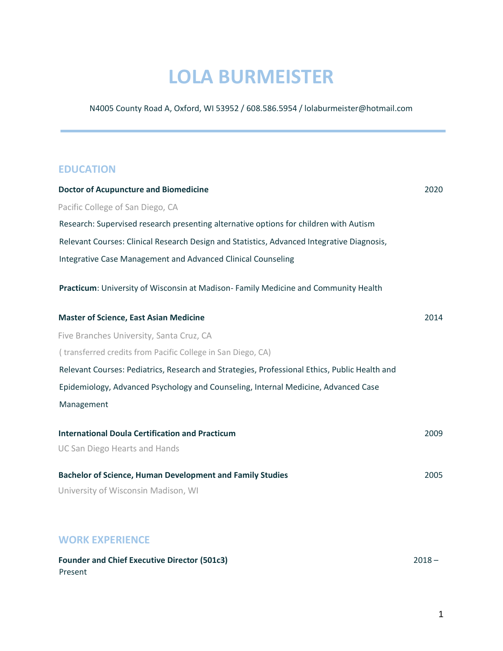# **LOLA BURMEISTER**

N4005 County Road A, Oxford, WI 53952 / 608.586.5954 / lolaburmeister@hotmail.com

#### **EDUCATION**

| <b>Doctor of Acupuncture and Biomedicine</b>                                                  | 2020 |
|-----------------------------------------------------------------------------------------------|------|
| Pacific College of San Diego, CA                                                              |      |
| Research: Supervised research presenting alternative options for children with Autism         |      |
| Relevant Courses: Clinical Research Design and Statistics, Advanced Integrative Diagnosis,    |      |
| Integrative Case Management and Advanced Clinical Counseling                                  |      |
| Practicum: University of Wisconsin at Madison-Family Medicine and Community Health            |      |
| <b>Master of Science, East Asian Medicine</b>                                                 | 2014 |
| Five Branches University, Santa Cruz, CA                                                      |      |
| (transferred credits from Pacific College in San Diego, CA)                                   |      |
| Relevant Courses: Pediatrics, Research and Strategies, Professional Ethics, Public Health and |      |
| Epidemiology, Advanced Psychology and Counseling, Internal Medicine, Advanced Case            |      |
| Management                                                                                    |      |
| <b>International Doula Certification and Practicum</b>                                        | 2009 |
| <b>UC San Diego Hearts and Hands</b>                                                          |      |
| <b>Bachelor of Science, Human Development and Family Studies</b>                              | 2005 |
| University of Wisconsin Madison, WI                                                           |      |
|                                                                                               |      |

## **WORK EXPERIENCE**

| <b>Founder and Chief Executive Director (501c3)</b> | $2018 -$ |
|-----------------------------------------------------|----------|
| Present                                             |          |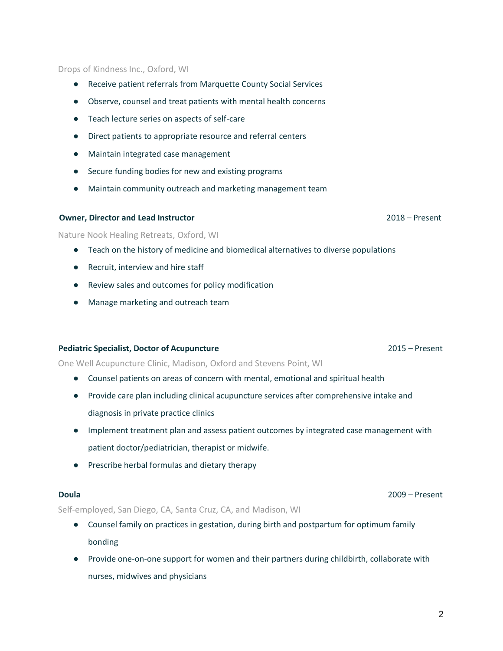2

#### Drops of Kindness Inc., Oxford, WI

- Receive patient referrals from Marquette County Social Services
- Observe, counsel and treat patients with mental health concerns
- Teach lecture series on aspects of self-care
- Direct patients to appropriate resource and referral centers
- Maintain integrated case management
- Secure funding bodies for new and existing programs
- Maintain community outreach and marketing management team

#### **Owner, Director and Lead Instructor** 2018 – Present

#### Nature Nook Healing Retreats, Oxford, WI

- Teach on the history of medicine and biomedical alternatives to diverse populations
- Recruit, interview and hire staff
- Review sales and outcomes for policy modification
- Manage marketing and outreach team

#### **Pediatric Specialist, Doctor of Acupuncture** 2015 – Present

One Well Acupuncture Clinic, Madison, Oxford and Stevens Point, WI

- Counsel patients on areas of concern with mental, emotional and spiritual health
- Provide care plan including clinical acupuncture services after comprehensive intake and diagnosis in private practice clinics
- Implement treatment plan and assess patient outcomes by integrated case management with patient doctor/pediatrician, therapist or midwife.
- Prescribe herbal formulas and dietary therapy

Self-employed, San Diego, CA, Santa Cruz, CA, and Madison, WI

- Counsel family on practices in gestation, during birth and postpartum for optimum family bonding
- Provide one-on-one support for women and their partners during childbirth, collaborate with nurses, midwives and physicians

**Doula** 2009 – Present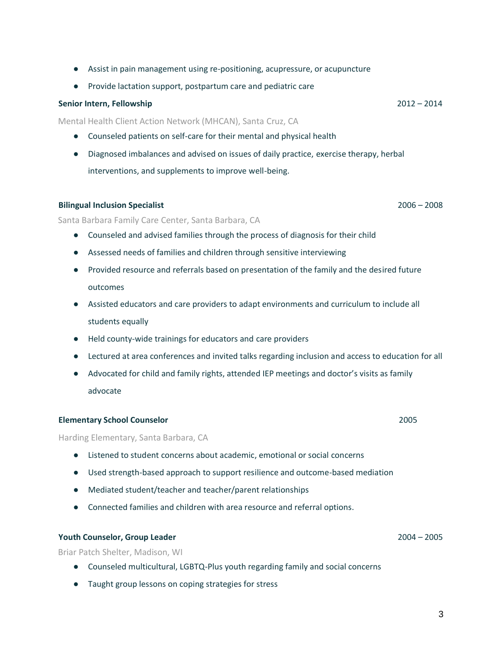- Assist in pain management using re-positioning, acupressure, or acupuncture
- Provide lactation support, postpartum care and pediatric care

#### **Senior Intern, Fellowship** 2012 – 2014

Mental Health Client Action Network (MHCAN), Santa Cruz, CA

- Counseled patients on self-care for their mental and physical health
- Diagnosed imbalances and advised on issues of daily practice, exercise therapy, herbal interventions, and supplements to improve well-being.

#### **Bilingual Inclusion Specialist** 2006 – 2008

Santa Barbara Family Care Center, Santa Barbara, CA

- Counseled and advised families through the process of diagnosis for their child
- Assessed needs of families and children through sensitive interviewing
- Provided resource and referrals based on presentation of the family and the desired future outcomes
- Assisted educators and care providers to adapt environments and curriculum to include all students equally
- Held county-wide trainings for educators and care providers
- Lectured at area conferences and invited talks regarding inclusion and access to education for all
- Advocated for child and family rights, attended IEP meetings and doctor's visits as family advocate

#### **Elementary School Counselor** 2005

Harding Elementary, Santa Barbara, CA

- Listened to student concerns about academic, emotional or social concerns
- Used strength-based approach to support resilience and outcome-based mediation
- Mediated student/teacher and teacher/parent relationships
- Connected families and children with area resource and referral options.

#### **Youth Counselor, Group Leader** 2004 – 2005

Briar Patch Shelter, Madison, WI

- Counseled multicultural, LGBTQ-Plus youth regarding family and social concerns
- Taught group lessons on coping strategies for stress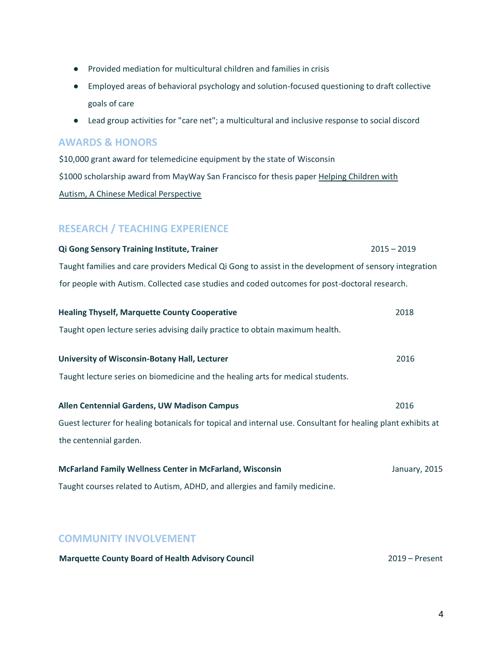- Provided mediation for multicultural children and families in crisis
- Employed areas of behavioral psychology and solution-focused questioning to draft collective goals of care
- Lead group activities for "care net"; a multicultural and inclusive response to social discord

#### **AWARDS & HONORS**

\$10,000 grant award for telemedicine equipment by the state of Wisconsin \$1000 scholarship award from MayWay San Francisco for thesis paper Helping Children with Autism, A Chinese Medical Perspective

### **RESEARCH / TEACHING EXPERIENCE**

| <b>Qi Gong Sensory Training Institute, Trainer</b>                                                     | $2015 - 2019$ |
|--------------------------------------------------------------------------------------------------------|---------------|
| Taught families and care providers Medical Qi Gong to assist in the development of sensory integration |               |
| for people with Autism. Collected case studies and coded outcomes for post-doctoral research.          |               |

| <b>Healing Thyself, Marquette County Cooperative</b>                                                         | 2018          |
|--------------------------------------------------------------------------------------------------------------|---------------|
| Taught open lecture series advising daily practice to obtain maximum health.                                 |               |
| University of Wisconsin-Botany Hall, Lecturer                                                                | 2016          |
| Taught lecture series on biomedicine and the healing arts for medical students.                              |               |
|                                                                                                              |               |
| Allen Centennial Gardens, UW Madison Campus                                                                  | 2016          |
| Guest lecturer for healing botanicals for topical and internal use. Consultant for healing plant exhibits at |               |
| the centennial garden.                                                                                       |               |
| <b>McFarland Family Wellness Center in McFarland, Wisconsin</b>                                              | January, 2015 |
|                                                                                                              |               |
| Taught courses related to Autism, ADHD, and allergies and family medicine.                                   |               |
|                                                                                                              |               |

#### **COMMUNITY INVOLVEMENT**

| <b>Marquette County Board of Health Advisory Council</b> | $2019 -$ Present |
|----------------------------------------------------------|------------------|
|----------------------------------------------------------|------------------|